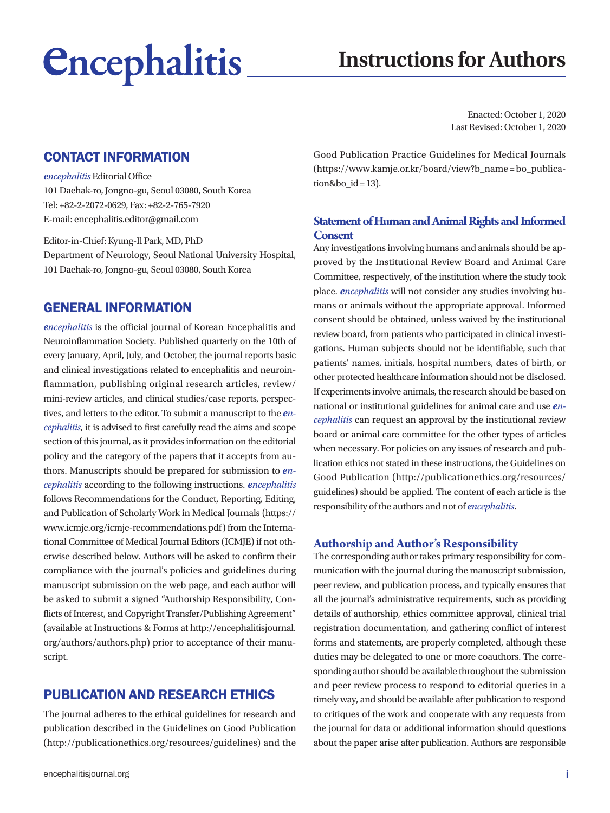# *<u>Encephalitis</u>*

## **Instructions for Authors**

Enacted: October 1, 2020 Last Revised: October 1, 2020

## CONTACT INFORMATION

#### *encephalitis* Editorial Office

101 Daehak-ro, Jongno-gu, Seoul 03080, South Korea Tel: +82-2-2072-0629, Fax: +82-2-765-7920 E-mail: encephalitis.editor@gmail.com

Editor-in-Chief: Kyung-Il Park, MD, PhD Department of Neurology, Seoul National University Hospital, 101 Daehak-ro, Jongno-gu, Seoul 03080, South Korea

## GENERAL INFORMATION

*encephalitis* is the official journal of Korean Encephalitis and Neuroinflammation Society. Published quarterly on the 10th of every January, April, July, and October, the journal reports basic and clinical investigations related to encephalitis and neuroinflammation, publishing original research articles, review/ mini-review articles, and clinical studies/case reports, perspectives, and letters to the editor. To submit a manuscript to the *encephalitis*, it is advised to first carefully read the aims and scope section of this journal, as it provides information on the editorial policy and the category of the papers that it accepts from authors. Manuscripts should be prepared for submission to *encephalitis* according to the following instructions. *encephalitis*  follows Recommendations for the Conduct, Reporting, Editing, and Publication of Scholarly Work in Medical Journals [\(https://](https://www.icmje.org/icmje-recommendations.pdf) [www.icmje.org/icmje-recommendations.pdf](https://www.icmje.org/icmje-recommendations.pdf)) from the International Committee of Medical Journal Editors (ICMJE) if not otherwise described below. Authors will be asked to confirm their compliance with the journal's policies and guidelines during manuscript submission on the web page, and each author will be asked to submit a signed "Authorship Responsibility, Conflicts of Interest, and Copyright Transfer/Publishing Agreement" (available at Instructions & Forms at [http://encephalitisjournal.](http://encephalitisjournal.org/authors/authors.php) [org/authors/authors.php](http://encephalitisjournal.org/authors/authors.php)) prior to acceptance of their manuscript.

## PUBLICATION AND RESEARCH ETHICS

The journal adheres to the ethical guidelines for research and publication described in the Guidelines on Good Publication (<http://publicationethics.org/resources/guidelines>) and the

Good Publication Practice Guidelines for Medical Journals ([https://www.kamje.or.kr/board/view?b\\_name = bo\\_publica](https://www.kamje.or.kr/board/view?b_name=bo_publication&bo_id=13) $tion&bo_id = 13$ ).

#### **Statement of Human and Animal Rights and Informed Consent**

Any investigations involving humans and animals should be approved by the Institutional Review Board and Animal Care Committee, respectively, of the institution where the study took place. *encephalitis* will not consider any studies involving humans or animals without the appropriate approval. Informed consent should be obtained, unless waived by the institutional review board, from patients who participated in clinical investigations. Human subjects should not be identifiable, such that patients' names, initials, hospital numbers, dates of birth, or other protected healthcare information should not be disclosed. If experiments involve animals, the research should be based on national or institutional guidelines for animal care and use *encephalitis* can request an approval by the institutional review board or animal care committee for the other types of articles when necessary. For policies on any issues of research and publication ethics not stated in these instructions, the Guidelines on Good Publication ([http://publicationethics.org/resources/](http://publicationethics.org/resources/guidelines) [guidelines](http://publicationethics.org/resources/guidelines)) should be applied. The content of each article is the responsibility of the authors and not of *encephalitis*.

#### **Authorship and Author's Responsibility**

The corresponding author takes primary responsibility for communication with the journal during the manuscript submission, peer review, and publication process, and typically ensures that all the journal's administrative requirements, such as providing details of authorship, ethics committee approval, clinical trial registration documentation, and gathering conflict of interest forms and statements, are properly completed, although these duties may be delegated to one or more coauthors. The corresponding author should be available throughout the submission and peer review process to respond to editorial queries in a timely way, and should be available after publication to respond to critiques of the work and cooperate with any requests from the journal for data or additional information should questions about the paper arise after publication. Authors are responsible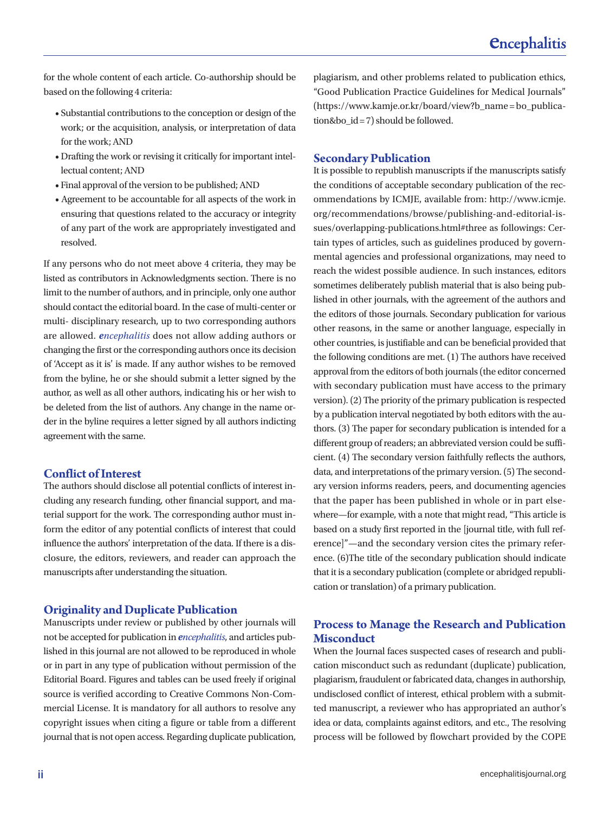for the whole content of each article. Co-authorship should be based on the following 4 criteria:

- Substantial contributions to the conception or design of the work; or the acquisition, analysis, or interpretation of data for the work; AND
- Drafting the work or revising it critically for important intellectual content; AND
- Final approval of the version to be published; AND
- Agreement to be accountable for all aspects of the work in ensuring that questions related to the accuracy or integrity of any part of the work are appropriately investigated and resolved.

If any persons who do not meet above 4 criteria, they may be listed as contributors in Acknowledgments section. There is no limit to the number of authors, and in principle, only one author should contact the editorial board. In the case of multi-center or multi- disciplinary research, up to two corresponding authors are allowed. *encephalitis* does not allow adding authors or changing the first or the corresponding authors once its decision of 'Accept as it is' is made. If any author wishes to be removed from the byline, he or she should submit a letter signed by the author, as well as all other authors, indicating his or her wish to be deleted from the list of authors. Any change in the name order in the byline requires a letter signed by all authors indicting agreement with the same.

#### **Conflict of Interest**

The authors should disclose all potential conflicts of interest including any research funding, other financial support, and material support for the work. The corresponding author must inform the editor of any potential conflicts of interest that could influence the authors' interpretation of the data. If there is a disclosure, the editors, reviewers, and reader can approach the manuscripts after understanding the situation.

#### **Originality and Duplicate Publication**

Manuscripts under review or published by other journals will not be accepted for publication in *encephalitis*, and articles published in this journal are not allowed to be reproduced in whole or in part in any type of publication without permission of the Editorial Board. Figures and tables can be used freely if original source is verified according to Creative Commons Non-Commercial License. It is mandatory for all authors to resolve any copyright issues when citing a figure or table from a different journal that is not open access. Regarding duplicate publication,

plagiarism, and other problems related to publication ethics, "Good Publication Practice Guidelines for Medical Journals" ([https://www.kamje.or.kr/board/view?b\\_name = bo\\_publica](https://www.kamje.or.kr/board/view?b_name=bo_publication&bo_id=7)[tion&bo\\_id = 7](https://www.kamje.or.kr/board/view?b_name=bo_publication&bo_id=7)) should be followed.

#### **Secondary Publication**

It is possible to republish manuscripts if the manuscripts satisfy the conditions of acceptable secondary publication of the recommendations by ICMJE, available from: [http://www.icmje.](http://www.icmje.org/recommendations/browse/publishing-and-editorial-issues/overlapping-publications.html#three) [org/recommendations/browse/publishing-and-editorial-is](http://www.icmje.org/recommendations/browse/publishing-and-editorial-issues/overlapping-publications.html#three)[sues/overlapping-publications.html#three](http://www.icmje.org/recommendations/browse/publishing-and-editorial-issues/overlapping-publications.html#three) as followings: Certain types of articles, such as guidelines produced by governmental agencies and professional organizations, may need to reach the widest possible audience. In such instances, editors sometimes deliberately publish material that is also being published in other journals, with the agreement of the authors and the editors of those journals. Secondary publication for various other reasons, in the same or another language, especially in other countries, is justifiable and can be beneficial provided that the following conditions are met. (1) The authors have received approval from the editors of both journals (the editor concerned with secondary publication must have access to the primary version). (2) The priority of the primary publication is respected by a publication interval negotiated by both editors with the authors. (3) The paper for secondary publication is intended for a different group of readers; an abbreviated version could be sufficient. (4) The secondary version faithfully reflects the authors, data, and interpretations of the primary version. (5) The secondary version informs readers, peers, and documenting agencies that the paper has been published in whole or in part elsewhere—for example, with a note that might read, "This article is based on a study first reported in the [journal title, with full reference]"—and the secondary version cites the primary reference. (6)The title of the secondary publication should indicate that it is a secondary publication (complete or abridged republication or translation) of a primary publication.

#### **Process to Manage the Research and Publication Misconduct**

When the Journal faces suspected cases of research and publication misconduct such as redundant (duplicate) publication, plagiarism, fraudulent or fabricated data, changes in authorship, undisclosed conflict of interest, ethical problem with a submitted manuscript, a reviewer who has appropriated an author's idea or data, complaints against editors, and etc., The resolving process will be followed by flowchart provided by the COPE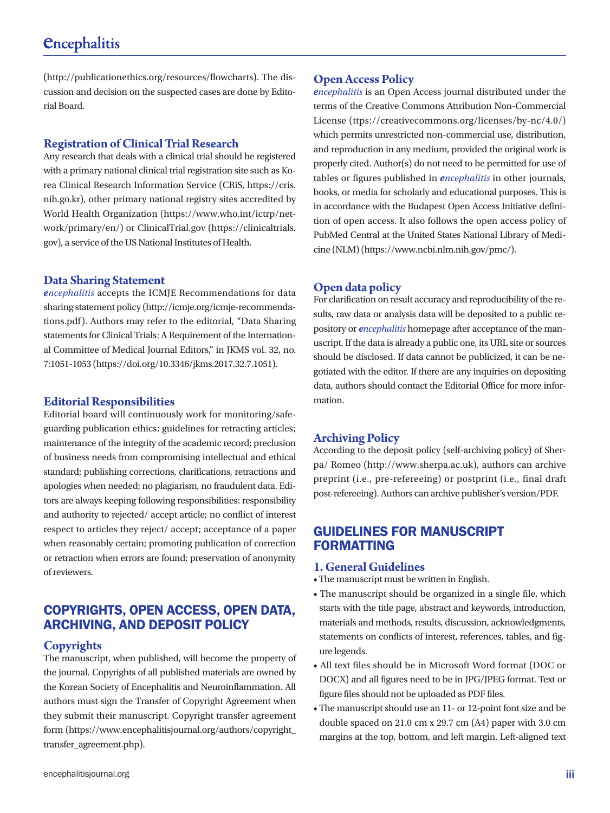(<http://publicationethics.org/resources/flowcharts>). The discussion and decision on the suspected cases are done by Editorial Board.

#### **Registration of Clinical Trial Research**

Any research that deals with a clinical trial should be registered with a primary national clinical trial registration site such as Korea Clinical Research Information Service (CRiS, [https://cris.](https://cris.nih.go.kr/) [nih.go.kr](https://cris.nih.go.kr/)), other primary national registry sites accredited by World Health Organization ([https://www.who.int/ictrp/net](https://www.who.int/ictrp/network/primary/en/)[work/primary/en/](https://www.who.int/ictrp/network/primary/en/)) or ClinicalTrial.gov ([https://clinicaltrials.](https://clinicaltrials.gov/) [gov](https://clinicaltrials.gov/)), a service of the US National Institutes of Health.

#### **Data Sharing Statement**

*encephalitis* accepts the ICMJE Recommendations for data sharing statement policy [\(http://icmje.org/icmje-recommenda](http://icmje.org/icmje-recommendations.pdf)[tions.pdf\)](http://icmje.org/icmje-recommendations.pdf). Authors may refer to the editorial, "Data Sharing statements for Clinical Trials: A Requirement of the International Committee of Medical Journal Editors," in JKMS vol. 32, no. 7:1051-1053 [\(https://doi.org/10.3346/jkms.2017.32.7.1051\)](https://doi.org/10.3346/jkms.2017.32.7.1051).

#### **Editorial Responsibilities**

Editorial board will continuously work for monitoring/safeguarding publication ethics: guidelines for retracting articles; maintenance of the integrity of the academic record; preclusion of business needs from compromising intellectual and ethical standard; publishing corrections, clarifications, retractions and apologies when needed; no plagiarism, no fraudulent data. Editors are always keeping following responsibilities: responsibility and authority to rejected/ accept article; no conflict of interest respect to articles they reject/ accept; acceptance of a paper when reasonably certain; promoting publication of correction or retraction when errors are found; preservation of anonymity of reviewers.

## COPYRIGHTS, OPEN ACCESS, OPEN DATA, ARCHIVING, AND DEPOSIT POLICY

## **Copyrights**

The manuscript, when published, will become the property of the journal. Copyrights of all published materials are owned by the Korean Society of Encephalitis and Neuroinflammation. All authors must sign the Transfer of Copyright Agreement when they submit their manuscript. Copyright transfer agreement form [\(https://www.encephalitisjournal.org/authors/copyright\\_](https://www.encephalitisjournal.org/authors/copyright_transfer_agreement.php) [transfer\\_agreement.php](https://www.encephalitisjournal.org/authors/copyright_transfer_agreement.php)).

*encephalitis* is an Open Access journal distributed under the terms of the Creative Commons Attribution Non-Commercial License (<ttps://creativecommons.org/licenses/by-nc/4.0/>) which permits unrestricted non-commercial use, distribution, and reproduction in any medium, provided the original work is properly cited. Author(s) do not need to be permitted for use of tables or figures published in *encephalitis* in other journals, books, or media for scholarly and educational purposes. This is in accordance with the Budapest Open Access Initiative definition of open access. It also follows the open access policy of PubMed Central at the United States National Library of Medicine (NLM) [\(https://www.ncbi.nlm.nih.gov/pmc/\)](https://www.ncbi.nlm.nih.gov/pmc/).

## **Open data policy**

For clarification on result accuracy and reproducibility of the results, raw data or analysis data will be deposited to a public repository or *encephalitis* homepage after acceptance of the manuscript. If the data is already a public one, its URL site or sources should be disclosed. If data cannot be publicized, it can be negotiated with the editor. If there are any inquiries on depositing data, authors should contact the Editorial Office for more information.

## **Archiving Policy**

According to the deposit policy (self-archiving policy) of Sherpa/ Romeo ([http://www.sherpa.ac.uk](http://www.sherpa.ac.uk/)), authors can archive preprint (i.e., pre-refereeing) or postprint (i.e., final draft post-refereeing). Authors can archive publisher's version/PDF.

## GUIDELINES FOR MANUSCRIPT FORMATTING

#### **1. General Guidelines**

- The manuscript must be written in English.
- The manuscript should be organized in a single file, which starts with the title page, abstract and keywords, introduction, materials and methods, results, discussion, acknowledgments, statements on conflicts of interest, references, tables, and figure legends.
- All text files should be in Microsoft Word format (DOC or DOCX) and all figures need to be in JPG/JPEG format. Text or figure files should not be uploaded as PDF files.
- The manuscript should use an 11- or 12-point font size and be double spaced on 21.0 cm x 29.7 cm (A4) paper with 3.0 cm margins at the top, bottom, and left margin. Left-aligned text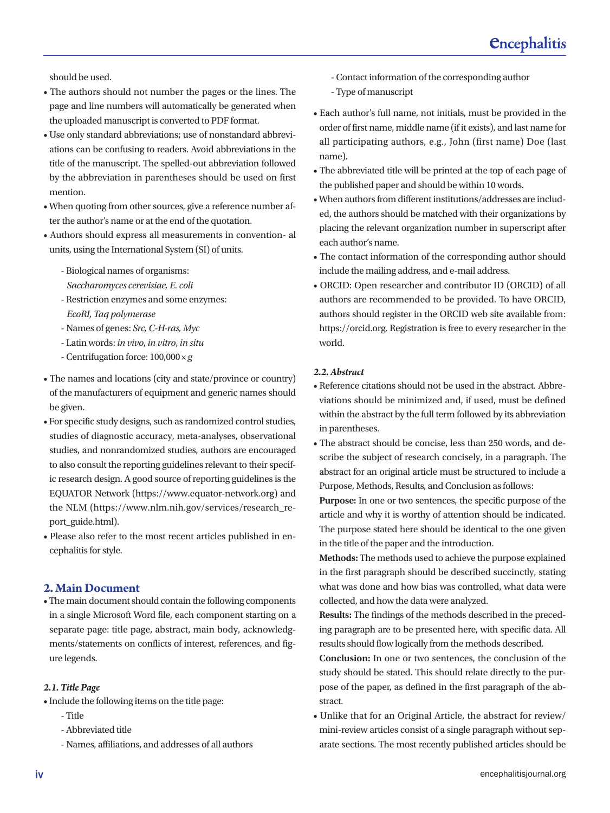should be used.

- The authors should not number the pages or the lines. The page and line numbers will automatically be generated when the uploaded manuscript is converted to PDF format.
- Use only standard abbreviations; use of nonstandard abbreviations can be confusing to readers. Avoid abbreviations in the title of the manuscript. The spelled-out abbreviation followed by the abbreviation in parentheses should be used on first mention.
- When quoting from other sources, give a reference number after the author's name or at the end of the quotation.
- Authors should express all measurements in convention- al units, using the International System (SI) of units.
	- Biological names of organisms:
	- *Saccharomyces cerevisiae, E. coli*
	- Restriction enzymes and some enzymes: *EcoRI, Taq polymerase*
	- Names of genes: *Src, C-H-ras, Myc*
	- Latin words: *in vivo*, *in vitro*, *in situ*
	- Centrifugation force: 100,000 ×*g*
- The names and locations (city and state/province or country) of the manufacturers of equipment and generic names should be given.
- For specific study designs, such as randomized control studies, studies of diagnostic accuracy, meta-analyses, observational studies, and nonrandomized studies, authors are encouraged to also consult the reporting guidelines relevant to their specific research design. A good source of reporting guidelines is the EQUATOR Network (https://www.equator-network.org) and the NLM (https://www.nlm.nih.gov/services/research\_report\_guide.html).
- Please also refer to the most recent articles published in encephalitis for style.

#### **2. Main Document**

• The main document should contain the following components in a single Microsoft Word file, each component starting on a separate page: title page, abstract, main body, acknowledgments/statements on conflicts of interest, references, and figure legends.

#### *2.1. Title Page*

- Include the following items on the title page:
	- Title
	- Abbreviated title
	- Names, affiliations, and addresses of all authors
- Contact information of the corresponding author
- Type of manuscript
- Each author's full name, not initials, must be provided in the order of first name, middle name (if it exists), and last name for all participating authors, e.g., John (first name) Doe (last name).
- The abbreviated title will be printed at the top of each page of the published paper and should be within 10 words.
- When authors from different institutions/addresses are included, the authors should be matched with their organizations by placing the relevant organization number in superscript after each author's name.
- The contact information of the corresponding author should include the mailing address, and e-mail address.
- ORCID: Open researcher and contributor ID (ORCID) of all authors are recommended to be provided. To have ORCID, authors should register in the ORCID web site available from: [https://orcid.org](https://orcid.org/). Registration is free to every researcher in the world.

#### *2.2. Abstract*

- Reference citations should not be used in the abstract. Abbreviations should be minimized and, if used, must be defined within the abstract by the full term followed by its abbreviation in parentheses.
- The abstract should be concise, less than 250 words, and describe the subject of research concisely, in a paragraph. The abstract for an original article must be structured to include a Purpose, Methods, Results, and Conclusion as follows:

**Purpose:** In one or two sentences, the specific purpose of the article and why it is worthy of attention should be indicated. The purpose stated here should be identical to the one given in the title of the paper and the introduction.

**Methods:** The methods used to achieve the purpose explained in the first paragraph should be described succinctly, stating what was done and how bias was controlled, what data were collected, and how the data were analyzed.

**Results:** The findings of the methods described in the preceding paragraph are to be presented here, with specific data. All results should flow logically from the methods described.

**Conclusion:** In one or two sentences, the conclusion of the study should be stated. This should relate directly to the purpose of the paper, as defined in the first paragraph of the abstract.

• Unlike that for an Original Article, the abstract for review/ mini-review articles consist of a single paragraph without separate sections. The most recently published articles should be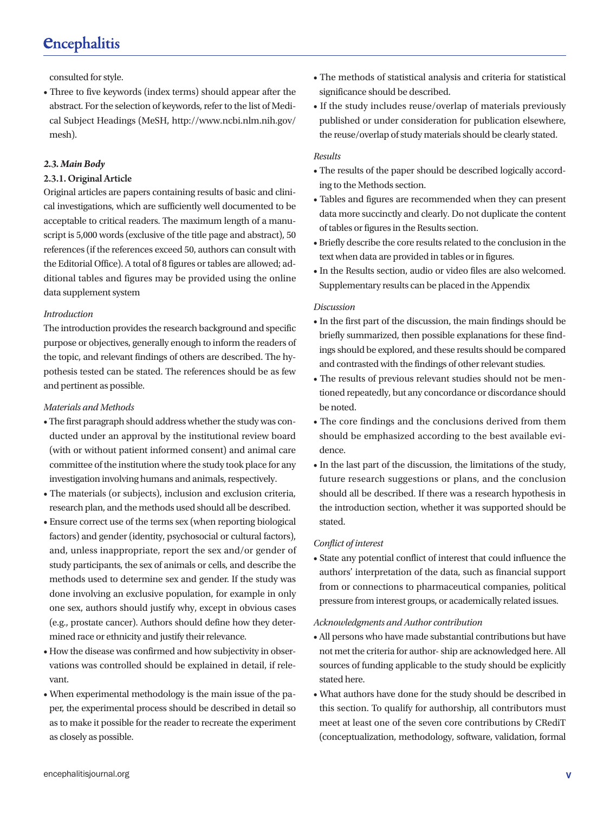consulted for style.

• Three to five keywords (index terms) should appear after the abstract. For the selection of keywords, refer to the list of Medical Subject Headings (MeSH, http://www.ncbi.nlm.nih.gov/ mesh).

#### *2.3. Main Body*

#### 2.3.1. Original Article

Original articles are papers containing results of basic and clinical investigations, which are sufficiently well documented to be acceptable to critical readers. The maximum length of a manuscript is 5,000 words (exclusive of the title page and abstract), 50 references (if the references exceed 50, authors can consult with the Editorial Office). A total of 8 figures or tables are allowed; additional tables and figures may be provided using the online data supplement system

#### *Introduction*

The introduction provides the research background and specific purpose or objectives, generally enough to inform the readers of the topic, and relevant findings of others are described. The hypothesis tested can be stated. The references should be as few and pertinent as possible.

#### *Materials and Methods*

- The first paragraph should address whether the study was conducted under an approval by the institutional review board (with or without patient informed consent) and animal care committee of the institution where the study took place for any investigation involving humans and animals, respectively.
- The materials (or subjects), inclusion and exclusion criteria, research plan, and the methods used should all be described.
- Ensure correct use of the terms sex (when reporting biological factors) and gender (identity, psychosocial or cultural factors), and, unless inappropriate, report the sex and/or gender of study participants, the sex of animals or cells, and describe the methods used to determine sex and gender. If the study was done involving an exclusive population, for example in only one sex, authors should justify why, except in obvious cases (e.g., prostate cancer). Authors should define how they determined race or ethnicity and justify their relevance.
- How the disease was confirmed and how subjectivity in observations was controlled should be explained in detail, if relevant.
- When experimental methodology is the main issue of the paper, the experimental process should be described in detail so as to make it possible for the reader to recreate the experiment as closely as possible.
- The methods of statistical analysis and criteria for statistical significance should be described.
- If the study includes reuse/overlap of materials previously published or under consideration for publication elsewhere, the reuse/overlap of study materials should be clearly stated.

#### *Results*

- The results of the paper should be described logically according to the Methods section.
- Tables and figures are recommended when they can present data more succinctly and clearly. Do not duplicate the content of tables or figures in the Results section.
- Briefly describe the core results related to the conclusion in the text when data are provided in tables or in figures.
- In the Results section, audio or video files are also welcomed. Supplementary results can be placed in the Appendix

#### *Discussion*

- In the first part of the discussion, the main findings should be briefly summarized, then possible explanations for these findings should be explored, and these results should be compared and contrasted with the findings of other relevant studies.
- The results of previous relevant studies should not be mentioned repeatedly, but any concordance or discordance should be noted.
- The core findings and the conclusions derived from them should be emphasized according to the best available evidence.
- In the last part of the discussion, the limitations of the study, future research suggestions or plans, and the conclusion should all be described. If there was a research hypothesis in the introduction section, whether it was supported should be stated.

#### *Conflict of interest*

• State any potential conflict of interest that could influence the authors' interpretation of the data, such as financial support from or connections to pharmaceutical companies, political pressure from interest groups, or academically related issues.

#### *Acknowledgments and Author contribution*

- All persons who have made substantial contributions but have not met the criteria for author- ship are acknowledged here. All sources of funding applicable to the study should be explicitly stated here.
- What authors have done for the study should be described in this section. To qualify for authorship, all contributors must meet at least one of the seven core contributions by CRediT (conceptualization, methodology, software, validation, formal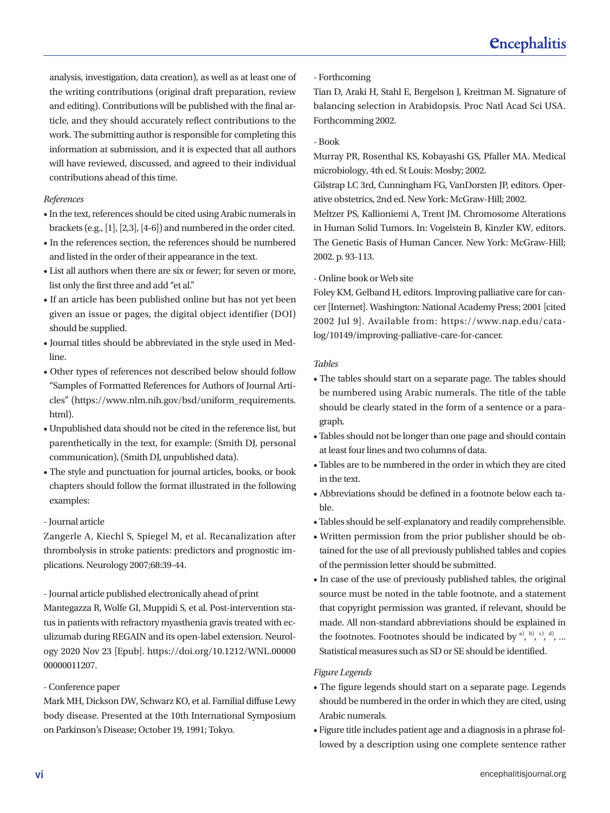analysis, investigation, data creation), as well as at least one of the writing contributions (original draft preparation, review and editing). Contributions will be published with the final article, and they should accurately reflect contributions to the work. The submitting author is responsible for completing this information at submission, and it is expected that all authors will have reviewed, discussed, and agreed to their individual contributions ahead of this time.

#### *References*

- In the text, references should be cited using Arabic numerals in brackets (e.g., [1], [2,3], [4-6]) and numbered in the order cited.
- In the references section, the references should be numbered and listed in the order of their appearance in the text.
- List all authors when there are six or fewer; for seven or more, list only the first three and add "et al."
- If an article has been published online but has not yet been given an issue or pages, the digital object identifier (DOI) should be supplied.
- Journal titles should be abbreviated in the style used in Medline.
- Other types of references not described below should follow "Samples of Formatted References for Authors of Journal Articles" ([https://www.nlm.nih.gov/bsd/uniform\\_requirements.](https://www.nlm.nih.gov/bsd/uniform_requirements.html) [html\)](https://www.nlm.nih.gov/bsd/uniform_requirements.html).
- Unpublished data should not be cited in the reference list, but parenthetically in the text, for example: (Smith DJ, personal communication), (Smith DJ, unpublished data).
- The style and punctuation for journal articles, books, or book chapters should follow the format illustrated in the following examples:

#### - Journal article

Zangerle A, Kiechl S, Spiegel M, et al. Recanalization after thrombolysis in stroke patients: predictors and prognostic implications. Neurology 2007;68:39-44.

- Journal article published electronically ahead of print

Mantegazza R, Wolfe GI, Muppidi S, et al. Post-intervention status in patients with refractory myasthenia gravis treated with eculizumab during REGAIN and its open-label extension. Neurology 2020 Nov 23 [Epub]. https://doi.org/10.1212/WNL.00000 00000011207.

#### - Conference paper

Mark MH, Dickson DW, Schwarz KO, et al. Familial diffuse Lewy body disease. Presented at the 10th International Symposium on Parkinson's Disease; October 19, 1991; Tokyo.

#### - Forthcoming

Tian D, Araki H, Stahl E, Bergelson J, Kreitman M. Signature of balancing selection in Arabidopsis. Proc Natl Acad Sci USA. Forthcomming 2002.

#### - Book

Murray PR, Rosenthal KS, Kobayashi GS, Pfaller MA. Medical microbiology, 4th ed. St Louis: Mosby; 2002.

Gilstrap LC 3rd, Cunningham FG, VanDorsten JP, editors. Operative obstetrics, 2nd ed. New York: McGraw-Hill; 2002.

Meltzer PS, Kallioniemi A, Trent JM. Chromosome Alterations in Human Solid Tumors. In: Vogelstein B, Kinzler KW, editors. The Genetic Basis of Human Cancer. New York: McGraw-Hill; 2002. p. 93-113.

#### - Online book or Web site

Foley KM, Gelband H, editors. Improving palliative care for cancer [Internet]. Washington: National Academy Press; 2001 [cited 2002 Jul 9]. Available from: https://www.nap.edu/catalog/10149/improving-palliative-care-for-cancer.

#### *Tables*

- The tables should start on a separate page. The tables should be numbered using Arabic numerals. The title of the table should be clearly stated in the form of a sentence or a paragraph.
- Tables should not be longer than one page and should contain at least four lines and two columns of data.
- Tables are to be numbered in the order in which they are cited in the text.
- Abbreviations should be defined in a footnote below each table.
- Tables should be self-explanatory and readily comprehensible.
- Written permission from the prior publisher should be obtained for the use of all previously published tables and copies of the permission letter should be submitted.
- In case of the use of previously published tables, the original source must be noted in the table footnote, and a statement that copyright permission was granted, if relevant, should be made. All non-standard abbreviations should be explained in the footnotes. Footnotes should be indicated by  $\binom{a}{b}$ ,  $\binom{b}{c}$ ,  $\binom{d}{c}$ , ... Statistical measures such as SD or SE should be identified.

#### *Figure Legends*

- The figure legends should start on a separate page. Legends should be numbered in the order in which they are cited, using Arabic numerals.
- Figure title includes patient age and a diagnosis in a phrase followed by a description using one complete sentence rather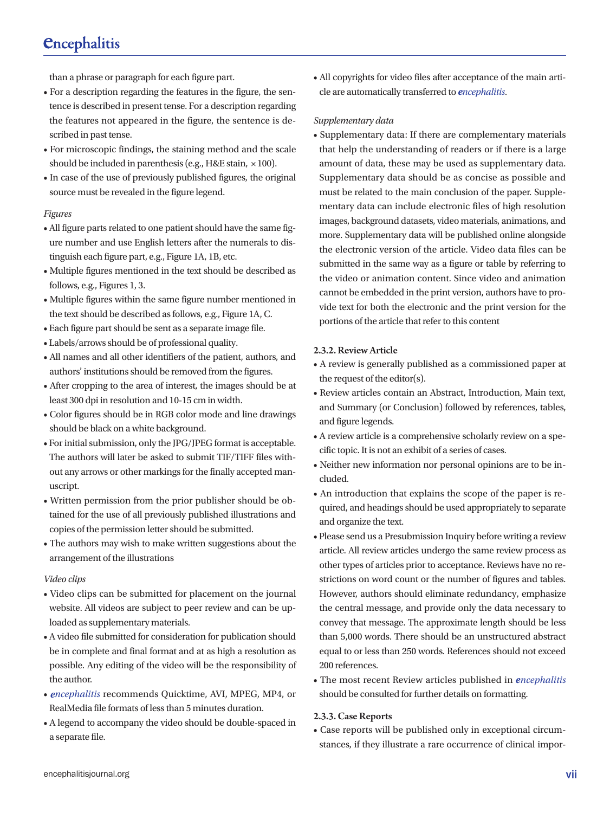## *<u>Cncephalitis</u>*

than a phrase or paragraph for each figure part.

- For a description regarding the features in the figure, the sentence is described in present tense. For a description regarding the features not appeared in the figure, the sentence is described in past tense.
- For microscopic findings, the staining method and the scale should be included in parenthesis (e.g., H&E stain, × 100).
- In case of the use of previously published figures, the original source must be revealed in the figure legend.

#### *Figures*

- All figure parts related to one patient should have the same figure number and use English letters after the numerals to distinguish each figure part, e.g., Figure 1A, 1B, etc.
- Multiple figures mentioned in the text should be described as follows, e.g., Figures 1, 3.
- Multiple figures within the same figure number mentioned in the text should be described as follows, e.g., Figure 1A, C.
- Each figure part should be sent as a separate image file.
- Labels/arrows should be of professional quality.
- All names and all other identifiers of the patient, authors, and authors' institutions should be removed from the figures.
- After cropping to the area of interest, the images should be at least 300 dpi in resolution and 10-15 cm in width.
- Color figures should be in RGB color mode and line drawings should be black on a white background.
- For initial submission, only the JPG/JPEG format is acceptable. The authors will later be asked to submit TIF/TIFF files without any arrows or other markings for the finally accepted manuscript.
- Written permission from the prior publisher should be obtained for the use of all previously published illustrations and copies of the permission letter should be submitted.
- The authors may wish to make written suggestions about the arrangement of the illustrations

#### *Video clips*

- Video clips can be submitted for placement on the journal website. All videos are subject to peer review and can be uploaded as supplementary materials.
- A video file submitted for consideration for publication should be in complete and final format and at as high a resolution as possible. Any editing of the video will be the responsibility of the author.
- *encephalitis* recommends Quicktime, AVI, MPEG, MP4, or RealMedia file formats of less than 5 minutes duration.
- A legend to accompany the video should be double-spaced in a separate file.

• All copyrights for video files after acceptance of the main article are automatically transferred to *encephalitis*.

#### *Supplementary data*

• Supplementary data: If there are complementary materials that help the understanding of readers or if there is a large amount of data, these may be used as supplementary data. Supplementary data should be as concise as possible and must be related to the main conclusion of the paper. Supplementary data can include electronic files of high resolution images, background datasets, video materials, animations, and more. Supplementary data will be published online alongside the electronic version of the article. Video data files can be submitted in the same way as a figure or table by referring to the video or animation content. Since video and animation cannot be embedded in the print version, authors have to provide text for both the electronic and the print version for the portions of the article that refer to this content

#### 2.3.2. Review Article

- A review is generally published as a commissioned paper at the request of the editor(s).
- Review articles contain an Abstract, Introduction, Main text, and Summary (or Conclusion) followed by references, tables, and figure legends.
- A review article is a comprehensive scholarly review on a specific topic. It is not an exhibit of a series of cases.
- Neither new information nor personal opinions are to be included.
- An introduction that explains the scope of the paper is required, and headings should be used appropriately to separate and organize the text.
- Please send us a Presubmission Inquiry before writing a review article. All review articles undergo the same review process as other types of articles prior to acceptance. Reviews have no restrictions on word count or the number of figures and tables. However, authors should eliminate redundancy, emphasize the central message, and provide only the data necessary to convey that message. The approximate length should be less than 5,000 words. There should be an unstructured abstract equal to or less than 250 words. References should not exceed 200 references.
- The most recent Review articles published in *encephalitis* should be consulted for further details on formatting.

#### 2.3.3. Case Reports

• Case reports will be published only in exceptional circumstances, if they illustrate a rare occurrence of clinical impor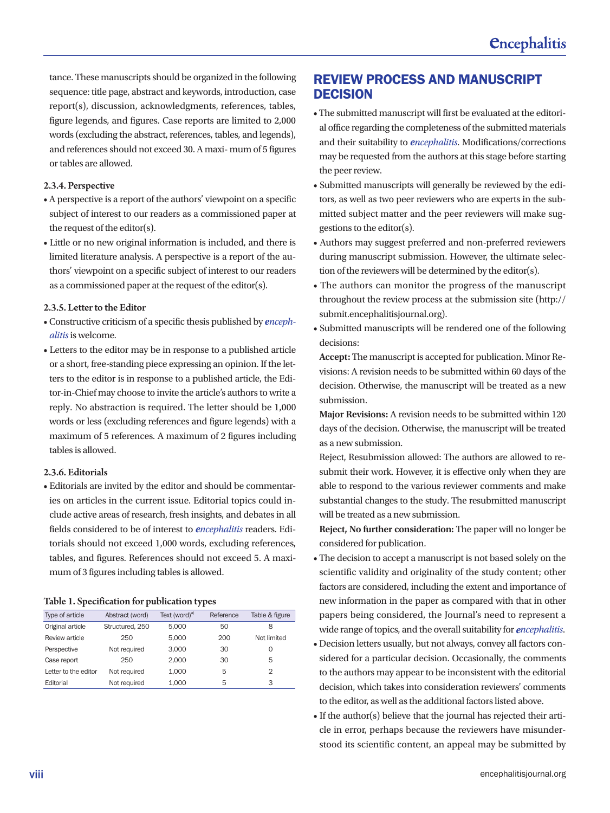tance. These manuscripts should be organized in the following sequence: title page, abstract and keywords, introduction, case report(s), discussion, acknowledgments, references, tables, figure legends, and figures. Case reports are limited to 2,000 words (excluding the abstract, references, tables, and legends), and references should not exceed 30. A maxi- mum of 5 figures or tables are allowed.

#### 2.3.4. Perspective

- A perspective is a report of the authors' viewpoint on a specific subject of interest to our readers as a commissioned paper at the request of the editor(s).
- Little or no new original information is included, and there is limited literature analysis. A perspective is a report of the authors' viewpoint on a specific subject of interest to our readers as a commissioned paper at the request of the editor(s).

#### 2.3.5. Letter to the Editor

- Constructive criticism of a specific thesis published by *encephalitis* is welcome.
- Letters to the editor may be in response to a published article or a short, free-standing piece expressing an opinion. If the letters to the editor is in response to a published article, the Editor-in-Chief may choose to invite the article's authors to write a reply. No abstraction is required. The letter should be 1,000 words or less (excluding references and figure legends) with a maximum of 5 references. A maximum of 2 figures including tables is allowed.

#### 2.3.6. Editorials

• Editorials are invited by the editor and should be commentaries on articles in the current issue. Editorial topics could include active areas of research, fresh insights, and debates in all fields considered to be of interest to *encephalitis* readers. Editorials should not exceed 1,000 words, excluding references, tables, and figures. References should not exceed 5. A maximum of 3 figures including tables is allowed.

#### Table 1. Specification for publication types

| Type of article      | Abstract (word) | Text (word) <sup>a)</sup> | Reference | Table & figure |
|----------------------|-----------------|---------------------------|-----------|----------------|
| Original article     | Structured, 250 | 5.000                     | 50        | 8              |
| Review article       | 250             | 5.000                     | 200       | Not limited    |
| Perspective          | Not required    | 3.000                     | 30        | Ω              |
| Case report          | 250             | 2.000                     | 30        | 5              |
| Letter to the editor | Not required    | 1.000                     | 5         | $\mathcal{P}$  |
| Editorial            | Not required    | 1.000                     | 5         | 3              |

## REVIEW PROCESS AND MANUSCRIPT **DECISION**

- The submitted manuscript will first be evaluated at the editorial office regarding the completeness of the submitted materials and their suitability to *encephalitis*. Modifications/corrections may be requested from the authors at this stage before starting the peer review.
- Submitted manuscripts will generally be reviewed by the editors, as well as two peer reviewers who are experts in the submitted subject matter and the peer reviewers will make suggestions to the editor(s).
- Authors may suggest preferred and non-preferred reviewers during manuscript submission. However, the ultimate selection of the reviewers will be determined by the editor(s).
- The authors can monitor the progress of the manuscript throughout the review process at the submission site ([http://](http://submit.encephalitisjournal.org/) [submit.encephalitisjournal.org](http://submit.encephalitisjournal.org/)).
- Submitted manuscripts will be rendered one of the following decisions:

**Accept:** The manuscript is accepted for publication. Minor Revisions: A revision needs to be submitted within 60 days of the decision. Otherwise, the manuscript will be treated as a new submission.

**Major Revisions:** A revision needs to be submitted within 120 days of the decision. Otherwise, the manuscript will be treated as a new submission.

Reject, Resubmission allowed: The authors are allowed to resubmit their work. However, it is effective only when they are able to respond to the various reviewer comments and make substantial changes to the study. The resubmitted manuscript will be treated as a new submission.

**Reject, No further consideration:** The paper will no longer be considered for publication.

- The decision to accept a manuscript is not based solely on the scientific validity and originality of the study content; other factors are considered, including the extent and importance of new information in the paper as compared with that in other papers being considered, the Journal's need to represent a wide range of topics, and the overall suitability for *encephalitis*.
- Decision letters usually, but not always, convey all factors considered for a particular decision. Occasionally, the comments to the authors may appear to be inconsistent with the editorial decision, which takes into consideration reviewers' comments to the editor, as well as the additional factors listed above.
- If the author(s) believe that the journal has rejected their article in error, perhaps because the reviewers have misunderstood its scientific content, an appeal may be submitted by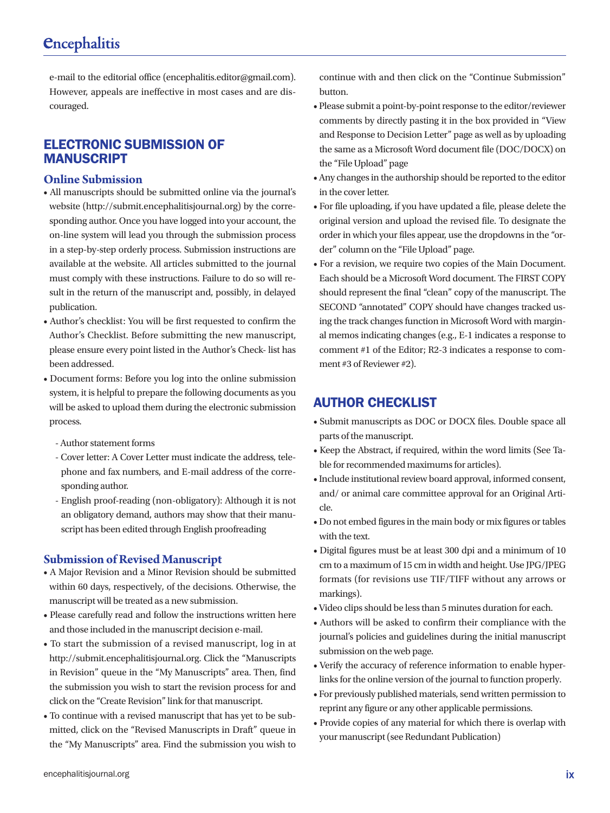## *<u>Cncephalitis</u>*

e-mail to the editorial office [\(encephalitis.editor@gmail.com\)](mailto:encephalitis.editor@gmail.com). However, appeals are ineffective in most cases and are discouraged.

## ELECTRONIC SUBMISSION OF MANUSCRIPT

#### **Online Submission**

- All manuscripts should be submitted online via the journal's website [\(http://submit.encephalitisjournal.org](http://submit.encephalitisjournal.org/)) by the corresponding author. Once you have logged into your account, the on-line system will lead you through the submission process in a step-by-step orderly process. Submission instructions are available at the website. All articles submitted to the journal must comply with these instructions. Failure to do so will result in the return of the manuscript and, possibly, in delayed publication.
- Author's checklist: You will be first requested to confirm the Author's Checklist. Before submitting the new manuscript, please ensure every point listed in the Author's Check- list has been addressed.
- Document forms: Before you log into the online submission system, it is helpful to prepare the following documents as you will be asked to upload them during the electronic submission process.
	- Author statement forms
	- Cover letter: A Cover Letter must indicate the address, telephone and fax numbers, and E-mail address of the corresponding author.
	- English proof-reading (non-obligatory): Although it is not an obligatory demand, authors may show that their manuscript has been edited through English proofreading

#### **Submission of Revised Manuscript**

- A Major Revision and a Minor Revision should be submitted within 60 days, respectively, of the decisions. Otherwise, the manuscript will be treated as a new submission.
- Please carefully read and follow the instructions written here and those included in the manuscript decision e-mail.
- To start the submission of a revised manuscript, log in at [http://submit.encephalitisjournal.org](http://submit.encephalitisjournal.org/). Click the "Manuscripts in Revision" queue in the "My Manuscripts" area. Then, find the submission you wish to start the revision process for and click on the "Create Revision" link for that manuscript.
- To continue with a revised manuscript that has yet to be submitted, click on the "Revised Manuscripts in Draft" queue in the "My Manuscripts" area. Find the submission you wish to

continue with and then click on the "Continue Submission" button.

- Please submit a point-by-point response to the editor/reviewer comments by directly pasting it in the box provided in "View and Response to Decision Letter" page as well as by uploading the same as a Microsoft Word document file (DOC/DOCX) on the "File Upload" page
- Any changes in the authorship should be reported to the editor in the cover letter.
- For file uploading, if you have updated a file, please delete the original version and upload the revised file. To designate the order in which your files appear, use the dropdowns in the "order" column on the "File Upload" page.
- For a revision, we require two copies of the Main Document. Each should be a Microsoft Word document. The FIRST COPY should represent the final "clean" copy of the manuscript. The SECOND "annotated" COPY should have changes tracked using the track changes function in Microsoft Word with marginal memos indicating changes (e.g., E-1 indicates a response to comment #1 of the Editor; R2-3 indicates a response to comment #3 of Reviewer #2).

## AUTHOR CHECKLIST

- Submit manuscripts as DOC or DOCX files. Double space all parts of the manuscript.
- Keep the Abstract, if required, within the word limits (See Table for recommended maximums for articles).
- Include institutional review board approval, informed consent, and/ or animal care committee approval for an Original Article.
- Do not embed figures in the main body or mix figures or tables with the text.
- Digital figures must be at least 300 dpi and a minimum of 10 cm to a maximum of 15 cm in width and height. Use JPG/JPEG formats (for revisions use TIF/TIFF without any arrows or markings).
- Video clips should be less than 5 minutes duration for each.
- Authors will be asked to confirm their compliance with the journal's policies and guidelines during the initial manuscript submission on the web page.
- Verify the accuracy of reference information to enable hyperlinks for the online version of the journal to function properly.
- For previously published materials, send written permission to reprint any figure or any other applicable permissions.
- Provide copies of any material for which there is overlap with your manuscript (see Redundant Publication)